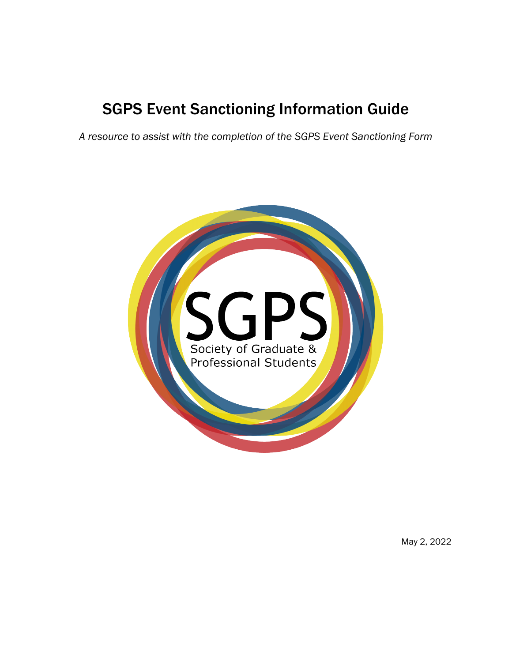# SGPS Event Sanctioning Information Guide

*A resource to assist with the completion of the SGPS Event Sanctioning Form*



May 2, 2022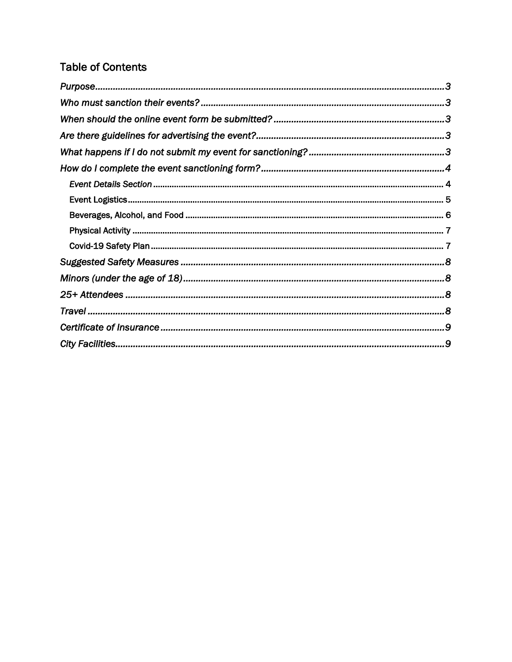## **Table of Contents**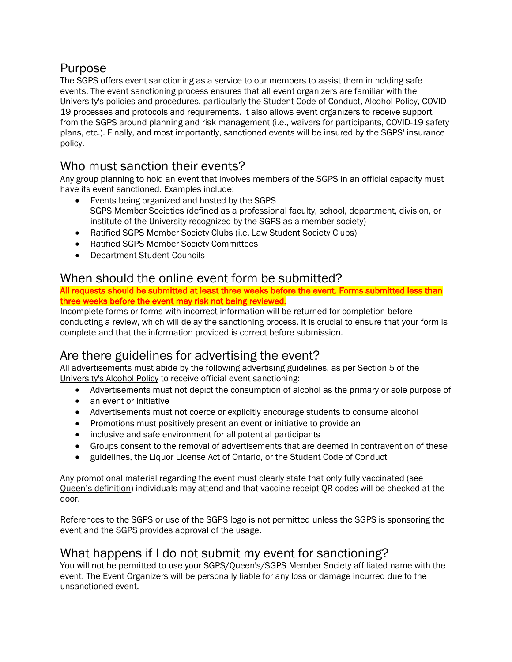# Purpose

The SGPS offers event sanctioning as a service to our members to assist them in holding safe events. The event sanctioning process ensures that all event organizers are familiar with the University's policies and procedures, particularly the Student Code of Conduct, Alcohol Policy, COVID-19 processes and protocols and requirements. It also allows event organizers to receive support from the SGPS around planning and risk management (i.e., waivers for participants, COVID-19 safety plans, etc.). Finally, and most importantly, sanctioned events will be insured by the SGPS' insurance policy.

### Who must sanction their events?

Any group planning to hold an event that involves members of the SGPS in an official capacity must have its event sanctioned. Examples include:

- Events being organized and hosted by the SGPS SGPS Member Societies (defined as a professional faculty, school, department, division, or institute of the University recognized by the SGPS as a member society)
- Ratified SGPS Member Society Clubs (i.e. Law Student Society Clubs)
- Ratified SGPS Member Society Committees
- Department Student Councils

### When should the online event form be submitted?

All requests should be submitted at least three weeks before the event. Forms submitted less than three weeks before the event may risk not being reviewed.

Incomplete forms or forms with incorrect information will be returned for completion before conducting a review, which will delay the sanctioning process. It is crucial to ensure that your form is complete and that the information provided is correct before submission.

# Are there guidelines for advertising the event?

All advertisements must abide by the following advertising guidelines, as per Section 5 of the University's Alcohol Policy to receive official event sanctioning:

- Advertisements must not depict the consumption of alcohol as the primary or sole purpose of
- an event or initiative
- Advertisements must not coerce or explicitly encourage students to consume alcohol
- Promotions must positively present an event or initiative to provide an
- inclusive and safe environment for all potential participants
- Groups consent to the removal of advertisements that are deemed in contravention of these
- guidelines, the Liquor License Act of Ontario, or the Student Code of Conduct

Any promotional material regarding the event must clearly state that only fully vaccinated (see Queen's definition) individuals may attend and that vaccine receipt QR codes will be checked at the door.

References to the SGPS or use of the SGPS logo is not permitted unless the SGPS is sponsoring the event and the SGPS provides approval of the usage.

### What happens if I do not submit my event for sanctioning?

You will not be permitted to use your SGPS/Queen's/SGPS Member Society affiliated name with the event. The Event Organizers will be personally liable for any loss or damage incurred due to the unsanctioned event.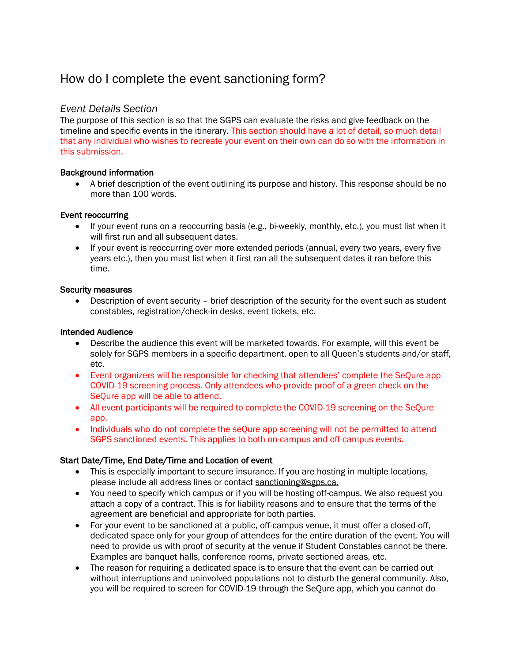# How do I complete the event sanctioning form?

#### *Event Details Section*

The purpose of this section is so that the SGPS can evaluate the risks and give feedback on the timeline and specific events in the itinerary. This section should have a lot of detail, so much detail that any individual who wishes to recreate your event on their own can do so with the information in this submission.

#### Background information

• A brief description of the event outlining its purpose and history. This response should be no more than 100 words.

#### Event reoccurring

- If your event runs on a reoccurring basis (e.g., bi-weekly, monthly, etc.), you must list when it will first run and all subsequent dates.
- If your event is reoccurring over more extended periods (annual, every two years, every five years etc.), then you must list when it first ran all the subsequent dates it ran before this time.

#### Security measures

• Description of event security – brief description of the security for the event such as student constables, registration/check-in desks, event tickets, etc.

#### Intended Audience

- Describe the audience this event will be marketed towards. For example, will this event be solely for SGPS members in a specific department, open to all Queen's students and/or staff, etc.
- Event organizers will be responsible for checking that attendees' complete the SeQure app COVID-19 screening process. Only attendees who provide proof of a green check on the SeQure app will be able to attend.
- All event participants will be required to complete the COVID-19 screening on the SeQure app.
- Individuals who do not complete the seOure app screening will not be permitted to attend SGPS sanctioned events. This applies to both on-campus and off-campus events.

#### Start Date/Time, End Date/Time and Location of event

- This is especially important to secure insurance. If you are hosting in multiple locations, please include all address lines or contact sanctioning@sgps.ca.
- You need to specify which campus or if you will be hosting off-campus. We also request you attach a copy of a contract. This is for liability reasons and to ensure that the terms of the agreement are beneficial and appropriate for both parties.
- For your event to be sanctioned at a public, off-campus venue, it must offer a closed-off, dedicated space only for your group of attendees for the entire duration of the event. You will need to provide us with proof of security at the venue if Student Constables cannot be there. Examples are banquet halls, conference rooms, private sectioned areas, etc.
- The reason for requiring a dedicated space is to ensure that the event can be carried out without interruptions and uninvolved populations not to disturb the general community. Also, you will be required to screen for COVID-19 through the SeQure app, which you cannot do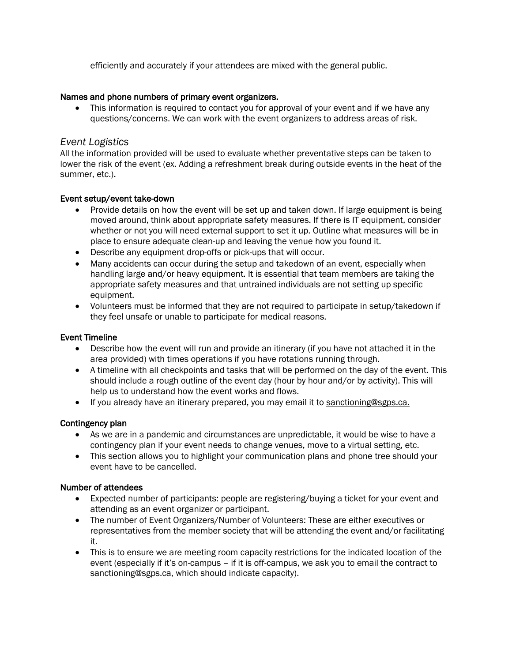efficiently and accurately if your attendees are mixed with the general public.

#### Names and phone numbers of primary event organizers.

• This information is required to contact you for approval of your event and if we have any questions/concerns. We can work with the event organizers to address areas of risk.

#### *Event Logistics*

All the information provided will be used to evaluate whether preventative steps can be taken to lower the risk of the event (ex. Adding a refreshment break during outside events in the heat of the summer, etc.).

#### Event setup/event take-down

- Provide details on how the event will be set up and taken down. If large equipment is being moved around, think about appropriate safety measures. If there is IT equipment, consider whether or not you will need external support to set it up. Outline what measures will be in place to ensure adequate clean-up and leaving the venue how you found it.
- Describe any equipment drop-offs or pick-ups that will occur.
- Many accidents can occur during the setup and takedown of an event, especially when handling large and/or heavy equipment. It is essential that team members are taking the appropriate safety measures and that untrained individuals are not setting up specific equipment.
- Volunteers must be informed that they are not required to participate in setup/takedown if they feel unsafe or unable to participate for medical reasons.

#### Event Timeline

- Describe how the event will run and provide an itinerary (if you have not attached it in the area provided) with times operations if you have rotations running through.
- A timeline with all checkpoints and tasks that will be performed on the day of the event. This should include a rough outline of the event day (hour by hour and/or by activity). This will help us to understand how the event works and flows.
- If you already have an itinerary prepared, you may email it to sanctioning@sgps.ca.

#### Contingency plan

- As we are in a pandemic and circumstances are unpredictable, it would be wise to have a contingency plan if your event needs to change venues, move to a virtual setting, etc.
- This section allows you to highlight your communication plans and phone tree should your event have to be cancelled.

#### Number of attendees

- Expected number of participants: people are registering/buying a ticket for your event and attending as an event organizer or participant.
- The number of Event Organizers/Number of Volunteers: These are either executives or representatives from the member society that will be attending the event and/or facilitating it.
- This is to ensure we are meeting room capacity restrictions for the indicated location of the event (especially if it's on-campus – if it is off-campus, we ask you to email the contract to sanctioning@sgps.ca, which should indicate capacity).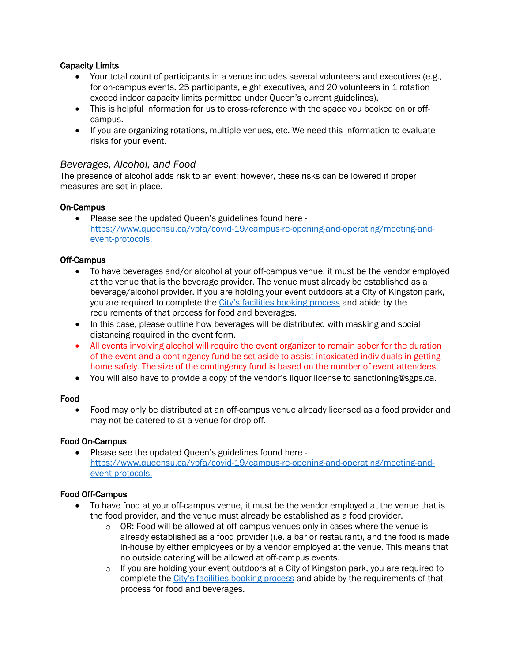#### Capacity Limits

- Your total count of participants in a venue includes several volunteers and executives (e.g., for on-campus events, 25 participants, eight executives, and 20 volunteers in 1 rotation exceed indoor capacity limits permitted under Queen's current guidelines).
- This is helpful information for us to cross-reference with the space you booked on or offcampus.
- If you are organizing rotations, multiple venues, etc. We need this information to evaluate risks for your event.

#### *Beverages, Alcohol, and Food*

The presence of alcohol adds risk to an event; however, these risks can be lowered if proper measures are set in place.

#### On-Campus

• Please see the updated Queen's guidelines found here https://www.queensu.ca/vpfa/covid-19/campus-re-opening-and-operating/meeting-andevent-protocols.

#### Off-Campus

- To have beverages and/or alcohol at your off-campus venue, it must be the vendor employed at the venue that is the beverage provider. The venue must already be established as a beverage/alcohol provider. If you are holding your event outdoors at a City of Kingston park, you are required to complete the City's facilities booking process and abide by the requirements of that process for food and beverages.
- In this case, please outline how beverages will be distributed with masking and social distancing required in the event form.
- All events involving alcohol will require the event organizer to remain sober for the duration of the event and a contingency fund be set aside to assist intoxicated individuals in getting home safely. The size of the contingency fund is based on the number of event attendees.
- You will also have to provide a copy of the vendor's liquor license to sanctioning@sgps.ca.

#### Food

• Food may only be distributed at an off-campus venue already licensed as a food provider and may not be catered to at a venue for drop-off.

#### Food On-Campus

• Please see the updated Queen's guidelines found here https://www.queensu.ca/vpfa/covid-19/campus-re-opening-and-operating/meeting-andevent-protocols.

#### Food Off-Campus

- To have food at your off-campus venue, it must be the vendor employed at the venue that is the food provider, and the venue must already be established as a food provider.
	- $\circ$  OR: Food will be allowed at off-campus venues only in cases where the venue is already established as a food provider (i.e. a bar or restaurant), and the food is made in-house by either employees or by a vendor employed at the venue. This means that no outside catering will be allowed at off-campus events.
	- $\circ$  If you are holding your event outdoors at a City of Kingston park, you are required to complete the City's facilities booking process and abide by the requirements of that process for food and beverages.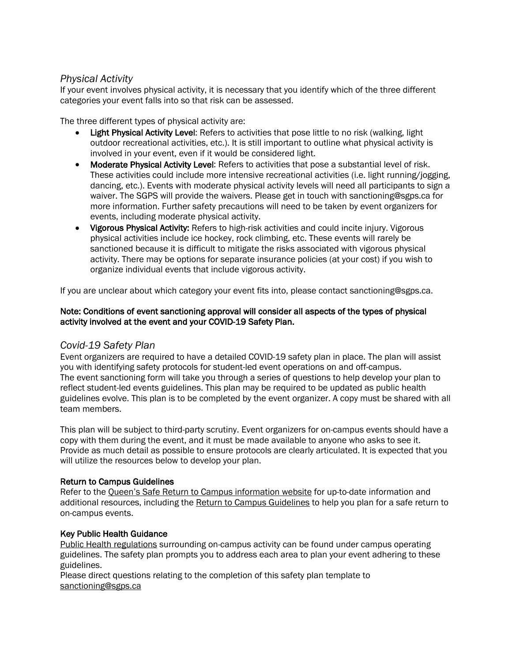#### *Physical Activity*

If your event involves physical activity, it is necessary that you identify which of the three different categories your event falls into so that risk can be assessed.

The three different types of physical activity are:

- Light Physical Activity Level: Refers to activities that pose little to no risk (walking, light outdoor recreational activities, etc.). It is still important to outline what physical activity is involved in your event, even if it would be considered light.
- Moderate Physical Activity Level: Refers to activities that pose a substantial level of risk. These activities could include more intensive recreational activities (i.e. light running/jogging, dancing, etc.). Events with moderate physical activity levels will need all participants to sign a waiver. The SGPS will provide the waivers. Please get in touch with sanctioning@sgps.ca for more information. Further safety precautions will need to be taken by event organizers for events, including moderate physical activity.
- Vigorous Physical Activity: Refers to high-risk activities and could incite injury. Vigorous physical activities include ice hockey, rock climbing, etc. These events will rarely be sanctioned because it is difficult to mitigate the risks associated with vigorous physical activity. There may be options for separate insurance policies (at your cost) if you wish to organize individual events that include vigorous activity.

If you are unclear about which category your event fits into, please contact sanctioning@sgps.ca.

#### Note: Conditions of event sanctioning approval will consider all aspects of the types of physical activity involved at the event and your COVID-19 Safety Plan.

#### *Covid-19 Safety Plan*

Event organizers are required to have a detailed COVID-19 safety plan in place. The plan will assist you with identifying safety protocols for student-led event operations on and off-campus. The event sanctioning form will take you through a series of questions to help develop your plan to reflect student-led events guidelines. This plan may be required to be updated as public health guidelines evolve. This plan is to be completed by the event organizer. A copy must be shared with all team members.

This plan will be subject to third-party scrutiny. Event organizers for on-campus events should have a copy with them during the event, and it must be made available to anyone who asks to see it. Provide as much detail as possible to ensure protocols are clearly articulated. It is expected that you will utilize the resources below to develop your plan.

#### Return to Campus Guidelines

Refer to the Queen's Safe Return to Campus information website for up-to-date information and additional resources, including the Return to Campus Guidelines to help you plan for a safe return to on-campus events.

#### Key Public Health Guidance

Public Health regulations surrounding on-campus activity can be found under campus operating guidelines. The safety plan prompts you to address each area to plan your event adhering to these guidelines.

Please direct questions relating to the completion of this safety plan template to sanctioning@sgps.ca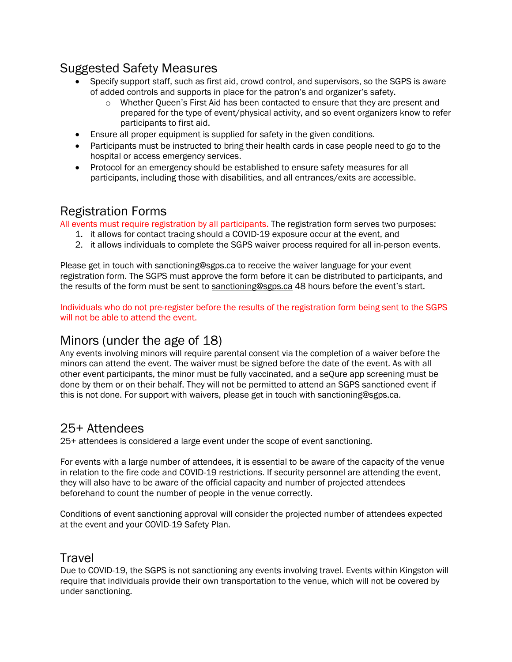# Suggested Safety Measures

- Specify support staff, such as first aid, crowd control, and supervisors, so the SGPS is aware of added controls and supports in place for the patron's and organizer's safety.
	- o Whether Queen's First Aid has been contacted to ensure that they are present and prepared for the type of event/physical activity, and so event organizers know to refer participants to first aid.
- Ensure all proper equipment is supplied for safety in the given conditions.
- Participants must be instructed to bring their health cards in case people need to go to the hospital or access emergency services.
- Protocol for an emergency should be established to ensure safety measures for all participants, including those with disabilities, and all entrances/exits are accessible.

# Registration Forms

All events must require registration by all participants. The registration form serves two purposes:

- 1. it allows for contact tracing should a COVID-19 exposure occur at the event, and
- 2. it allows individuals to complete the SGPS waiver process required for all in-person events.

Please get in touch with sanctioning@sgps.ca to receive the waiver language for your event registration form. The SGPS must approve the form before it can be distributed to participants, and the results of the form must be sent to sanctioning@sgps.ca 48 hours before the event's start.

Individuals who do not pre-register before the results of the registration form being sent to the SGPS will not be able to attend the event.

### Minors (under the age of 18)

Any events involving minors will require parental consent via the completion of a waiver before the minors can attend the event. The waiver must be signed before the date of the event. As with all other event participants, the minor must be fully vaccinated, and a seQure app screening must be done by them or on their behalf. They will not be permitted to attend an SGPS sanctioned event if this is not done. For support with waivers, please get in touch with sanctioning@sgps.ca.

### 25+ Attendees

25+ attendees is considered a large event under the scope of event sanctioning.

For events with a large number of attendees, it is essential to be aware of the capacity of the venue in relation to the fire code and COVID-19 restrictions. If security personnel are attending the event, they will also have to be aware of the official capacity and number of projected attendees beforehand to count the number of people in the venue correctly.

Conditions of event sanctioning approval will consider the projected number of attendees expected at the event and your COVID-19 Safety Plan.

### **Travel**

Due to COVID-19, the SGPS is not sanctioning any events involving travel. Events within Kingston will require that individuals provide their own transportation to the venue, which will not be covered by under sanctioning.